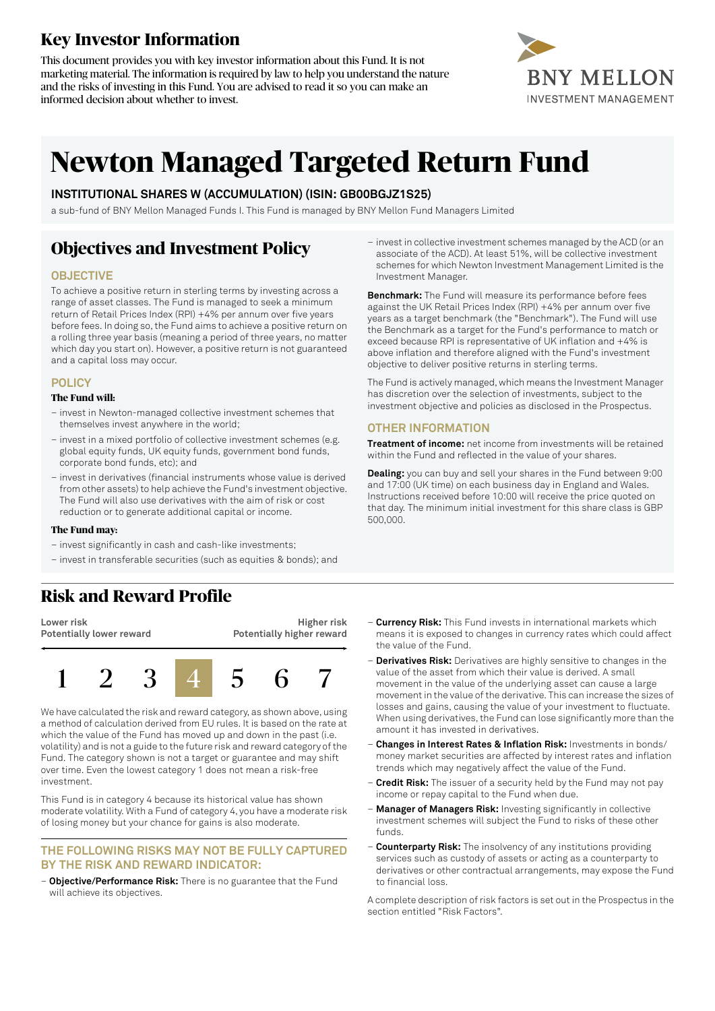## **Key Investor Information**

This document provides you with key investor information about this Fund. It is not marketing material. The information is required by law to help you understand the nature and the risks of investing in this Fund. You are advised to read it so you can make an informed decision about whether to invest.



# **Newton Managed Targeted Return Fund**

#### **INSTITUTIONAL SHARES W (ACCUMULATION) (ISIN: GB00BGJZ1S25)**

a sub-fund of BNY Mellon Managed Funds I. This Fund is managed by BNY Mellon Fund Managers Limited

## **Objectives and Investment Policy**

#### **OBJECTIVE**

To achieve a positive return in sterling terms by investing across a range of asset classes. The Fund is managed to seek a minimum return of Retail Prices Index (RPI) +4% per annum over five years before fees. In doing so, the Fund aims to achieve a positive return on a rolling three year basis (meaning a period of three years, no matter which day you start on). However, a positive return is not guaranteed and a capital loss may occur.

#### **POLICY**

#### **The Fund will:**

- invest in Newton-managed collective investment schemes that themselves invest anywhere in the world;
- invest in a mixed portfolio of collective investment schemes (e.g. global equity funds, UK equity funds, government bond funds, corporate bond funds, etc); and
- invest in derivatives (financial instruments whose value is derived from other assets) to help achieve the Fund's investment objective. The Fund will also use derivatives with the aim of risk or cost reduction or to generate additional capital or income.

#### **The Fund may:**

- invest significantly in cash and cash-like investments;
- invest in transferable securities (such as equities & bonds); and

### **Risk and Reward Profile**

**Lower risk Potentially lower reward**

**Higher risk Potentially higher reward**



We have calculated the risk and reward category, as shown above, using a method of calculation derived from EU rules. It is based on the rate at which the value of the Fund has moved up and down in the past (i.e. volatility) and is not a guide to the future risk and reward category of the Fund. The category shown is not a target or guarantee and may shift over time. Even the lowest category 1 does not mean a risk-free investment.

This Fund is in category 4 because its historical value has shown moderate volatility. With a Fund of category 4, you have a moderate risk of losing money but your chance for gains is also moderate.

#### **THE FOLLOWING RISKS MAY NOT BE FULLY CAPTURED BY THE RISK AND REWARD INDICATOR:**

– **Objective/Performance Risk:** There is no guarantee that the Fund will achieve its objectives.

– invest in collective investment schemes managed by the ACD (or an associate of the ACD). At least 51%, will be collective investment schemes for which Newton Investment Management Limited is the Investment Manager.

**Benchmark:** The Fund will measure its performance before fees against the UK Retail Prices Index (RPI) +4% per annum over five years as a target benchmark (the "Benchmark"). The Fund will use the Benchmark as a target for the Fund's performance to match or exceed because RPI is representative of UK inflation and +4% is above inflation and therefore aligned with the Fund's investment objective to deliver positive returns in sterling terms.

The Fund is actively managed, which means the Investment Manager has discretion over the selection of investments, subject to the investment objective and policies as disclosed in the Prospectus.

#### **OTHER INFORMATION**

**Treatment of income:** net income from investments will be retained within the Fund and reflected in the value of your shares.

**Dealing:** you can buy and sell your shares in the Fund between 9:00 and 17:00 (UK time) on each business day in England and Wales. Instructions received before 10:00 will receive the price quoted on that day. The minimum initial investment for this share class is GBP 500,000.

- **Currency Risk:** This Fund invests in international markets which means it is exposed to changes in currency rates which could affect the value of the Fund.
- **Derivatives Risk:** Derivatives are highly sensitive to changes in the value of the asset from which their value is derived. A small movement in the value of the underlying asset can cause a large movement in the value of the derivative. This can increase the sizes of losses and gains, causing the value of your investment to fluctuate. When using derivatives, the Fund can lose significantly more than the amount it has invested in derivatives.
- **Changes in Interest Rates & Inflation Risk:** Investments in bonds/ money market securities are affected by interest rates and inflation trends which may negatively affect the value of the Fund.
- **Credit Risk:** The issuer of a security held by the Fund may not pay income or repay capital to the Fund when due.
- **Manager of Managers Risk:** Investing significantly in collective investment schemes will subject the Fund to risks of these other funds.
- **Counterparty Risk:** The insolvency of any institutions providing services such as custody of assets or acting as a counterparty to derivatives or other contractual arrangements, may expose the Fund to financial loss.

A complete description of risk factors is set out in the Prospectus in the section entitled "Risk Factors".